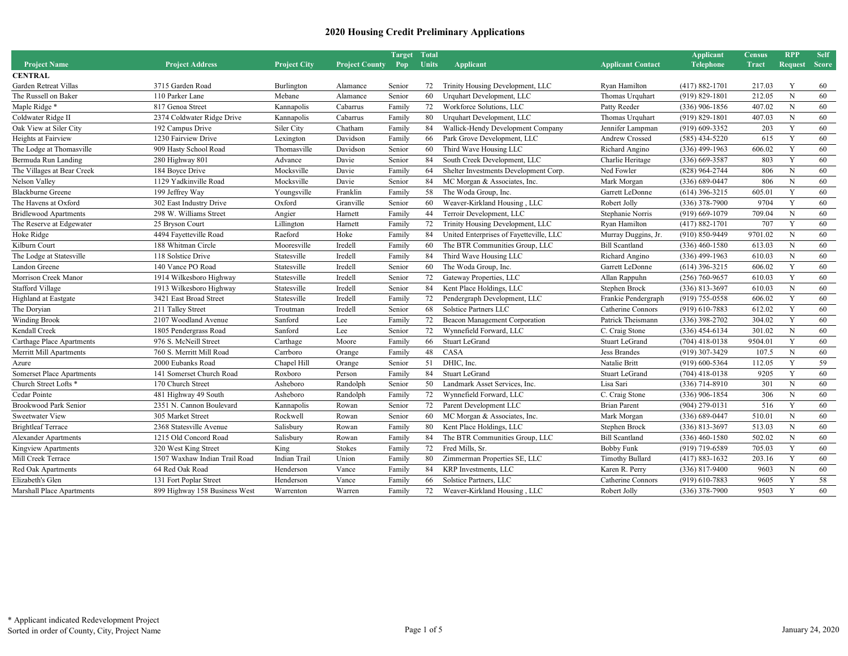|                                  |                               |                     |                       | Target | <b>Total</b> |                                         |                          | <b>Applicant</b>   | <b>Census</b> | <b>RPP</b>     | <b>Self</b>  |
|----------------------------------|-------------------------------|---------------------|-----------------------|--------|--------------|-----------------------------------------|--------------------------|--------------------|---------------|----------------|--------------|
| <b>Project Name</b>              | <b>Project Address</b>        | <b>Project City</b> | <b>Project County</b> | Pop    | <b>Units</b> | <b>Applicant</b>                        | <b>Applicant Contact</b> | <b>Telephone</b>   | <b>Tract</b>  | <b>Request</b> | <b>Score</b> |
| <b>CENTRAL</b>                   |                               |                     |                       |        |              |                                         |                          |                    |               |                |              |
| Garden Retreat Villas            | 3715 Garden Road              | Burlington          | Alamance              | Senior | 72           | Trinity Housing Development, LLC        | Ryan Hamilton            | $(417) 882 - 1701$ | 217.03        | Y              | 60           |
| The Russell on Baker             | 110 Parker Lane               | Mebane              | Alamance              | Senior | 60           | Urquhart Development, LLC               | Thomas Urquhart          | $(919) 829 - 1801$ | 212.05        | $\mathbf N$    | 60           |
| Maple Ridge*                     | 817 Genoa Street              | Kannapolis          | Cabarrus              | Family | 72           | Workforce Solutions, LLC                | Patty Reeder             | $(336)$ 906-1856   | 407.02        | $\mathbf N$    | 60           |
| Coldwater Ridge II               | 2374 Coldwater Ridge Drive    | Kannapolis          | Cabarrus              | Family | 80           | Urquhart Development, LLC               | Thomas Urquhart          | $(919) 829 - 1801$ | 407.03        | $\mathbf N$    | 60           |
| Oak View at Siler City           | 192 Campus Drive              | Siler City          | Chatham               | Family | 84           | Wallick-Hendy Development Company       | Jennifer Lampman         | $(919)$ 609-3352   | 203           | Y              | 60           |
| Heights at Fairview              | 1230 Fairview Drive           | Lexington           | Davidson              | Family | 66           | Park Grove Development, LLC             | Andrew Crossed           | $(585)$ 434-5220   | 615           | Y              | 60           |
| The Lodge at Thomasville         | 909 Hasty School Road         | Thomasville         | Davidson              | Senior | 60           | Third Wave Housing LLC                  | Richard Angino           | $(336)$ 499-1963   | 606.02        | Y              | 60           |
| Bermuda Run Landing              | 280 Highway 801               | Advance             | Davie                 | Senior | 84           | South Creek Development, LLC            | Charlie Heritage         | $(336)$ 669-3587   | 803           | Y              | 60           |
| The Villages at Bear Creek       | 184 Boyce Drive               | Mocksville          | Davie                 | Family | 64           | Shelter Investments Development Corp.   | Ned Fowler               | $(828)$ 964-2744   | 806           | $\mathbf N$    | 60           |
| Nelson Valley                    | 1129 Yadkinville Road         | Mocksville          | Davie                 | Senior | 84           | MC Morgan & Associates, Inc.            | Mark Morgan              | $(336) 689 - 0447$ | 806           | $\mathbf N$    | 60           |
| <b>Blackburne Greene</b>         | 199 Jeffrey Way               | Youngsville         | Franklin              | Family | 58           | The Woda Group, Inc.                    | Garrett LeDonne          | $(614)$ 396-3215   | 605.01        | Y              | 60           |
| The Havens at Oxford             | 302 East Industry Drive       | Oxford              | Granville             | Senior | 60           | Weaver-Kirkland Housing, LLC            | Robert Jolly             | $(336)$ 378-7900   | 9704          | Y              | 60           |
| <b>Bridlewood Apartments</b>     | 298 W. Williams Street        | Angier              | Harnett               | Family | 44           | Terroir Development, LLC                | Stephanie Norris         | $(919)$ 669-1079   | 709.04        | N              | 60           |
| The Reserve at Edgewater         | 25 Bryson Court               | Lillington          | Harnett               | Family | 72           | Trinity Housing Development, LLC        | Ryan Hamilton            | $(417) 882 - 1701$ | 707           | Y              | 60           |
| Hoke Ridge                       | 4494 Fayetteville Road        | Raeford             | Hoke                  | Family | 84           | United Enterprises of Fayetteville, LLC | Murray Duggins, Jr.      | $(910) 850 - 9449$ | 9701.02       | $\mathbf N$    | 60           |
| Kilburn Court                    | 188 Whitman Circle            | Mooresville         | Iredell               | Family | 60           | The BTR Communities Group, LLC          | <b>Bill Scantland</b>    | $(336)$ 460-1580   | 613.03        | $\mathbf N$    | 60           |
| The Lodge at Statesville         | 118 Solstice Drive            | Statesville         | Iredell               | Family | 84           | Third Wave Housing LLC                  | Richard Angino           | $(336)$ 499-1963   | 610.03        | $\mathbf N$    | 60           |
| Landon Greene                    | 140 Vance PO Road             | Statesville         | Iredell               | Senior | 60           | The Woda Group, Inc.                    | Garrett LeDonne          | $(614)$ 396-3215   | 606.02        | Y              | 60           |
| Morrison Creek Manor             | 1914 Wilkesboro Highway       | Statesville         | Iredell               | Senior | 72           | Gateway Properties, LLC                 | Allan Rappuhn            | $(256) 760 - 9657$ | 610.03        | Y              | 60           |
| <b>Stafford Village</b>          | 1913 Wilkesboro Highway       | Statesville         | Iredell               | Senior | 84           | Kent Place Holdings, LLC                | Stephen Brock            | $(336) 813 - 3697$ | 610.03        | $\mathbf N$    | 60           |
| Highland at Eastgate             | 3421 East Broad Street        | Statesville         | Iredell               | Family | 72           | Pendergraph Development, LLC            | Frankie Pendergraph      | $(919)$ 755-0558   | 606.02        | Y              | 60           |
| The Doryian                      | 211 Talley Street             | Troutman            | Iredell               | Senior | 68           | Solstice Partners LLC                   | Catherine Connors        | $(919) 610 - 7883$ | 612.02        | Y              | 60           |
| <b>Winding Brook</b>             | 2107 Woodland Avenue          | Sanford             | Lee                   | Family | 72           | Beacon Management Corporation           | Patrick Theismann        | $(336)$ 398-2702   | 304.02        | Y              | 60           |
| Kendall Creek                    | 1805 Pendergrass Road         | Sanford             | Lee                   | Senior | 72           | Wynnefield Forward, LLC                 | C. Craig Stone           | $(336)$ 454-6134   | 301.02        | $\mathbf N$    | 60           |
| <b>Carthage Place Apartments</b> | 976 S. McNeill Street         | Carthage            | Moore                 | Family | 66           | <b>Stuart LeGrand</b>                   | <b>Stuart LeGrand</b>    | $(704)$ 418-0138   | 9504.01       | Y              | 60           |
| Merritt Mill Apartments          | 760 S. Merritt Mill Road      | Carrboro            | Orange                | Family | 48           | CASA                                    | Jess Brandes             | $(919)$ 307-3429   | 107.5         | $\mathbf N$    | 60           |
| Azure                            | 2000 Eubanks Road             | Chapel Hill         | Orange                | Senior | 51           | DHIC, Inc.                              | Natalie Britt            | $(919)$ 600-5364   | 112.05        | Y              | 59           |
| Somerset Place Apartments        | 141 Somerset Church Road      | Roxboro             | Person                | Family | 84           | <b>Stuart LeGrand</b>                   | <b>Stuart LeGrand</b>    | $(704)$ 418-0138   | 9205          | Y              | 60           |
| Church Street Lofts <sup>*</sup> | 170 Church Street             | Asheboro            | Randolph              | Senior | 50           | Landmark Asset Services, Inc.           | Lisa Sari                | $(336)$ 714-8910   | 301           | $\mathbf N$    | 60           |
| Cedar Pointe                     | 481 Highway 49 South          | Asheboro            | Randolph              | Family | 72           | Wynnefield Forward, LLC                 | C. Craig Stone           | $(336)$ 906-1854   | 306           | $\mathbf N$    | 60           |
| <b>Brookwood Park Senior</b>     | 2351 N. Cannon Boulevard      | Kannapolis          | Rowan                 | Senior | 72           | Parent Development LLC                  | <b>Brian Parent</b>      | $(904)$ 279-0131   | 516           | Y              | 60           |
| Sweetwater View                  | 305 Market Street             | Rockwell            | Rowan                 | Senior | 60           | MC Morgan & Associates, Inc.            | Mark Morgan              | $(336) 689 - 0447$ | 510.01        | $\mathbf N$    | 60           |
| <b>Brightleaf Terrace</b>        | 2368 Statesville Avenue       | Salisbury           | Rowan                 | Family | 80           | Kent Place Holdings, LLC                | Stephen Brock            | $(336) 813 - 3697$ | 513.03        | $\mathbf N$    | 60           |
| <b>Alexander Apartments</b>      | 1215 Old Concord Road         | Salisbury           | Rowan                 | Family | 84           | The BTR Communities Group, LLC          | <b>Bill Scantland</b>    | $(336)$ 460-1580   | 502.02        | $\mathbf N$    | 60           |
| Kingview Apartments              | 320 West King Street          | King                | <b>Stokes</b>         | Family | 72           | Fred Mills, Sr.                         | <b>Bobby Funk</b>        | (919) 719-6589     | 705.03        | Y              | 60           |
| Mill Creek Terrace               | 1507 Waxhaw Indian Trail Road | Indian Trail        | Union                 | Family | 80           | Zimmerman Properties SE, LLC            | <b>Timothy Bullard</b>   | $(417) 883 - 1632$ | 203.16        | Y              | 60           |
| Red Oak Apartments               | 64 Red Oak Road               | Henderson           | Vance                 | Family | 84           | KRP Investments, LLC                    | Karen R. Perry           | $(336) 817 - 9400$ | 9603          | $\mathbf N$    | 60           |
| Elizabeth's Glen                 | 131 Fort Poplar Street        | Henderson           | Vance                 | Family | 66           | Solstice Partners, LLC                  | Catherine Connors        | $(919)$ 610-7883   | 9605          | Y              | 58           |
| Marshall Place Apartments        | 899 Highway 158 Business West | Warrenton           | Warren                | Family | 72           | Weaver-Kirkland Housing, LLC            | Robert Jolly             | $(336)$ 378-7900   | 9503          | Y              | 60           |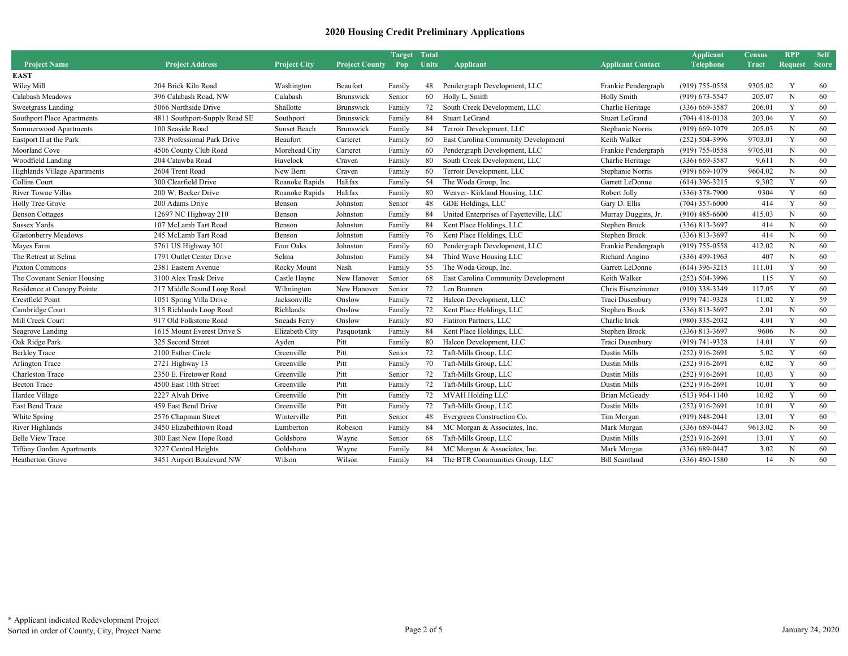|                                   |                               |                     |                       | Target | <b>Total</b> |                                         |                          | <b>Applicant</b>   | <b>Census</b> | <b>RPP</b>     | <b>Self</b>  |
|-----------------------------------|-------------------------------|---------------------|-----------------------|--------|--------------|-----------------------------------------|--------------------------|--------------------|---------------|----------------|--------------|
| <b>Project Name</b>               | <b>Project Address</b>        | <b>Project City</b> | <b>Project County</b> | Pop    | <b>Units</b> | Applicant                               | <b>Applicant Contact</b> | <b>Telephone</b>   | Tract         | <b>Request</b> | <b>Score</b> |
| <b>EAST</b>                       |                               |                     |                       |        |              |                                         |                          |                    |               |                |              |
| Wiley Mill                        | 204 Brick Kiln Road           | Washington          | Beaufort              | Family | 48           | Pendergraph Development, LLC            | Frankie Pendergraph      | $(919)$ 755-0558   | 9305.02       | Y              | -60          |
| Calabash Meadows                  | 396 Calabash Road, NW         | Calabash            | <b>Brunswick</b>      | Senior | 60           | Holly L. Smith                          | Holly Smith              | $(919) 673 - 5547$ | 205.07        | $\mathbf N$    | 60           |
| Sweetgrass Landing                | 5066 Northside Drive          | Shallotte           | Brunswick             | Family | 72           | South Creek Development, LLC            | Charlie Heritage         | $(336)$ 669-3587   | 206.01        | Y              | 60           |
| <b>Southport Place Apartments</b> | 4811 Southport-Supply Road SE | Southport           | Brunswick             | Family | 84           | <b>Stuart LeGrand</b>                   | <b>Stuart LeGrand</b>    | $(704)$ 418-0138   | 203.04        | Y              | 60           |
| Summerwood Apartments             | 100 Seaside Road              | <b>Sunset Beach</b> | Brunswick             | Family | 84           | Terroir Development, LLC                | Stephanie Norris         | $(919)$ 669-1079   | 205.03        | N              | 60           |
| Eastport II at the Park           | 738 Professional Park Drive   | Beaufort            | Carteret              | Family | 60           | East Carolina Community Development     | Keith Walker             | $(252) 504 - 3996$ | 9703.01       | Y              | 60           |
| Moorland Cove                     | 4506 County Club Road         | Morehead City       | Carteret              | Family | 60           | Pendergraph Development, LLC            | Frankie Pendergraph      | $(919)$ 755-0558   | 9705.01       | $\mathbf N$    | 60           |
| Woodfield Landing                 | 204 Catawba Road              | Havelock            | Craven                | Family | 80           | South Creek Development, LLC            | Charlie Heritage         | $(336)$ 669-3587   | 9,611         | N              | 60           |
| Highlands Village Apartments      | 2604 Trent Road               | New Bern            | Craven                | Family | 60           | Terroir Development, LLC                | Stephanie Norris         | $(919)$ 669-1079   | 9604.02       | N              | 60           |
| Collins Court                     | 300 Clearfield Drive          | Roanoke Rapids      | Halifax               | Family | 54           | The Woda Group, Inc.                    | Garrett LeDonne          | $(614)$ 396-3215   | 9,302         | Y              | 60           |
| River Towne Villas                | 200 W. Becker Drive           | Roanoke Rapids      | Halifax               | Family | 80           | Weaver-Kirkland Housing, LLC            | Robert Jolly             | $(336)$ 378-7900   | 9304          | Y              | 60           |
| Holly Tree Grove                  | 200 Adams Drive               | Benson              | Johnston              | Senior | 48           | GDE Holdings, LLC                       | Gary D. Ellis            | $(704)$ 357-6000   | 414           | Y              | 60           |
| <b>Benson Cottages</b>            | 12697 NC Highway 210          | Benson              | Johnston              | Family | 84           | United Enterprises of Fayetteville, LLC | Murray Duggins, Jr.      | $(910)$ 485-6600   | 415.03        | N              | 60           |
| <b>Sussex Yards</b>               | 107 McLamb Tart Road          | Benson              | Johnston              | Family | 84           | Kent Place Holdings, LLC                | Stephen Brock            | $(336) 813 - 3697$ | 414           | N              | 60           |
| <b>Glastonberry Meadows</b>       | 245 McLamb Tart Road          | Benson              | Johnston              | Family | 76           | Kent Place Holdings, LLC                | Stephen Brock            | $(336) 813 - 3697$ | 414           | N              | 60           |
| Mayes Farm                        | 5761 US Highway 301           | Four Oaks           | Johnston              | Family | 60           | Pendergraph Development, LLC            | Frankie Pendergraph      | $(919)$ 755-0558   | 412.02        | $\mathbf N$    | 60           |
| The Retreat at Selma              | 1791 Outlet Center Drive      | Selma               | Johnston              | Family | 84           | Third Wave Housing LLC                  | Richard Angino           | $(336)$ 499-1963   | 407           | N              | 60           |
| Paxton Commons                    | 2381 Eastern Avenue           | Rocky Mount         | Nash                  | Family | 55           | The Woda Group, Inc.                    | Garrett LeDonne          | $(614)$ 396-3215   | 111.01        | Y              | 60           |
| The Covenant Senior Housing       | 3100 Alex Trask Drive         | Castle Hayne        | New Hanover           | Senior | 68           | East Carolina Community Development     | Keith Walker             | $(252) 504 - 3996$ | 115           | Y              | 60           |
| Residence at Canopy Pointe        | 217 Middle Sound Loop Road    | Wilmington          | New Hanover           | Senior | 72           | Len Brannen                             | Chris Eisenzimmer        | $(910)$ 338-3349   | 117.05        | Y              | 60           |
| Crestfield Point                  | 1051 Spring Villa Drive       | Jacksonville        | Onslow                | Family | 72           | Halcon Development, LLC                 | Traci Dusenbury          | $(919) 741 - 9328$ | 11.02         | Y              | 59           |
| Cambridge Court                   | 315 Richlands Loop Road       | Richlands           | Onslow                | Family | 72           | Kent Place Holdings, LLC                | Stephen Brock            | $(336) 813 - 3697$ | 2.01          | $\mathbf N$    | 60           |
| Mill Creek Court                  | 917 Old Folkstone Road        | <b>Sneads Ferry</b> | Onslow                | Family | 80           | Flatiron Partners, LLC                  | Charlie Irick            | $(980)$ 335-2032   | 4.01          | Y              | 60           |
| Seagrove Landing                  | 1615 Mount Everest Drive S    | Elizabeth City      | Pasquotank            | Family | 84           | Kent Place Holdings, LLC                | Stephen Brock            | $(336) 813 - 3697$ | 9606          | $\mathbf N$    | 60           |
| Oak Ridge Park                    | 325 Second Street             | Ayden               | Pitt                  | Family | 80           | Halcon Development, LLC                 | Traci Dusenbury          | (919) 741-9328     | 14.01         | Y              | 60           |
| <b>Berkley Trace</b>              | 2100 Esther Circle            | Greenville          | Pitt                  | Senior | 72           | Taft-Mills Group, LLC                   | Dustin Mills             | $(252)$ 916-2691   | 5.02          | Y              | 60           |
| Arlington Trace                   | 2721 Highway 13               | Greenville          | Pitt                  | Family | 70           | Taft-Mills Group, LLC                   | Dustin Mills             | $(252)$ 916-2691   | 6.02          | Y              | 60           |
| Charleston Trace                  | 2350 E. Firetower Road        | Greenville          | Pitt                  | Senior | 72           | Taft-Mills Group, LLC                   | Dustin Mills             | $(252)$ 916-2691   | 10.03         | Y              | 60           |
| <b>Becton Trace</b>               | 4500 East 10th Street         | Greenville          | Pitt                  | Family | 72           | Taft-Mills Group, LLC                   | Dustin Mills             | $(252)$ 916-2691   | 10.01         | Y              | 60           |
| Hardee Village                    | 2227 Alvah Drive              | Greenville          | Pitt                  | Family | 72           | <b>MVAH Holding LLC</b>                 | <b>Brian McGeady</b>     | $(513)$ 964-1140   | 10.02         | Y              | 60           |
| East Bend Trace                   | 459 East Bend Drive           | Greenville          | Pitt                  | Family | 72           | Taft-Mills Group, LLC                   | Dustin Mills             | $(252)$ 916-2691   | 10.01         | Y              | 60           |
| White Spring                      | 2576 Chapman Street           | Winterville         | Pitt                  | Senior | 48           | Evergreen Construction Co.              | Tim Morgan               | $(919) 848 - 2041$ | 13.01         | Y              | 60           |
| River Highlands                   | 3450 Elizabethtown Road       | Lumberton           | Robeson               | Family | 84           | MC Morgan & Associates, Inc.            | Mark Morgan              | $(336) 689 - 0447$ | 9613.02       | N              | 60           |
| <b>Belle View Trace</b>           | 300 East New Hope Road        | Goldsboro           | Wayne                 | Senior | 68           | Taft-Mills Group, LLC                   | Dustin Mills             | $(252)$ 916-2691   | 13.01         | Y              | 60           |
| Tiffany Garden Apartments         | 3227 Central Heights          | Goldsboro           | Wayne                 | Family | 84           | MC Morgan & Associates, Inc.            | Mark Morgan              | $(336) 689 - 0447$ | 3.02          | N              | 60           |
| <b>Heatherton Grove</b>           | 3451 Airport Boulevard NW     | Wilson              | Wilson                | Family | 84           | The BTR Communities Group, LLC          | <b>Bill Scantland</b>    | $(336)$ 460-1580   | 14            | N              | 60           |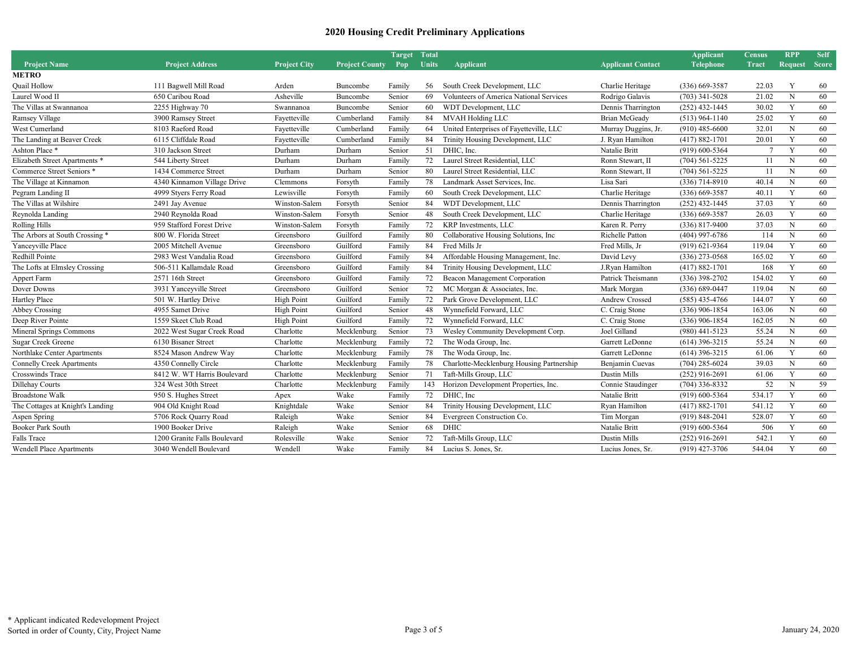|                                  |                              |                     |                       | <b>Target</b> | <b>Total</b> |                                           |                          | <b>Applicant</b>   | <b>Census</b>  | <b>RPP</b>  | <b>Self</b>  |
|----------------------------------|------------------------------|---------------------|-----------------------|---------------|--------------|-------------------------------------------|--------------------------|--------------------|----------------|-------------|--------------|
| <b>Project Name</b>              | <b>Project Address</b>       | <b>Project City</b> | <b>Project County</b> | Pop           | <b>Units</b> | Applicant                                 | <b>Applicant Contact</b> | Telephone          | <b>Tract</b>   | Request     | <b>Score</b> |
| <b>METRO</b>                     |                              |                     |                       |               |              |                                           |                          |                    |                |             |              |
| <b>Quail Hollow</b>              | 111 Bagwell Mill Road        | Arden               | Buncombe              | Family        | 56           | South Creek Development, LLC              | Charlie Heritage         | $(336)$ 669-3587   | 22.03          | Y           | 60           |
| Laurel Wood II                   | 650 Caribou Road             | Asheville           | Buncombe              | Senior        | 69           | Volunteers of America National Services   | Rodrigo Galavis          | $(703)$ 341-5028   | 21.02          | N           | 60           |
| The Villas at Swannanoa          | 2255 Highway 70              | Swannanoa           | Buncombe              | Senior        | 60           | WDT Development, LLC                      | Dennis Tharrington       | $(252)$ 432-1445   | 30.02          | Y           | 60           |
| Ramsey Village                   | 3900 Ramsey Street           | Fayetteville        | Cumberland            | Family        | 84           | <b>MVAH Holding LLC</b>                   | Brian McGeady            | $(513)$ 964-1140   | 25.02          | Y           | 60           |
| West Cumerland                   | 8103 Raeford Road            | Fayetteville        | Cumberland            | Family        | 64           | United Enterprises of Fayetteville, LLC   | Murray Duggins, Jr.      | $(910)$ 485-6600   | 32.01          | N           | 60           |
| The Landing at Beaver Creek      | 6115 Cliffdale Road          | Fayetteville        | Cumberland            | Family        | 84           | Trinity Housing Development, LLC          | J. Ryan Hamilton         | $(417) 882 - 1701$ | 20.01          | Y           | 60           |
| Ashton Place*                    | 310 Jackson Street           | Durham              | Durham                | Senior        | 51           | DHIC. Inc.                                | Natalie Britt            | $(919) 600 - 5364$ | $\overline{7}$ | Y           | 60           |
| Elizabeth Street Apartments *    | 544 Liberty Street           | Durham              | Durham                | Family        | 72           | Laurel Street Residential, LLC            | Ronn Stewart, II         | $(704) 561 - 5225$ | 11             | N           | 60           |
| Commerce Street Seniors *        | 1434 Commerce Street         | Durham              | Durham                | Senior        | 80           | Laurel Street Residential, LLC            | Ronn Stewart, II         | $(704) 561 - 5225$ | 11             | N           | 60           |
| The Village at Kinnamon          | 4340 Kinnamon Village Drive  | Clemmons            | Forsyth               | Family        | 78           | Landmark Asset Services, Inc.             | Lisa Sari                | $(336)$ 714-8910   | 40.14          | N           | 60           |
| Pegram Landing II                | 4999 Styers Ferry Road       | Lewisville          | Forsyth               | Family        | 60           | South Creek Development, LLC              | Charlie Heritage         | $(336)$ 669-3587   | 40.11          | Y           | 60           |
| The Villas at Wilshire           | 2491 Jay Avenue              | Winston-Salem       | Forsyth               | Senior        | 84           | WDT Development, LLC                      | Dennis Tharrington       | $(252)$ 432-1445   | 37.03          | Y           | 60           |
| Reynolda Landing                 | 2940 Reynolda Road           | Winston-Salem       | Forsyth               | Senior        | 48           | South Creek Development, LLC              | Charlie Heritage         | $(336)$ 669-3587   | 26.03          | Y           | 60           |
| Rolling Hills                    | 959 Stafford Forest Drive    | Winston-Salem       | Forsyth               | Family        | 72           | KRP Investments, LLC                      | Karen R. Perry           | $(336) 817 - 9400$ | 37.03          | N           | 60           |
| The Arbors at South Crossing *   | 800 W. Florida Street        | Greensboro          | Guilford              | Family        | 80           | Collaborative Housing Solutions, Inc.     | Richelle Patton          | $(404)$ 997-6786   | 114            | N           | 60           |
| Yanceyville Place                | 2005 Mitchell Avenue         | Greensboro          | Guilford              | Family        | 84           | Fred Mills Jr                             | Fred Mills, Jr           | $(919) 621 - 9364$ | 119.04         | Y           | 60           |
| Redhill Pointe                   | 2983 West Vandalia Road      | Greensboro          | Guilford              | Family        | 84           | Affordable Housing Management, Inc.       | David Levy               | $(336)$ 273-0568   | 165.02         | Y           | 60           |
| The Lofts at Elmsley Crossing    | 506-511 Kallamdale Road      | Greensboro          | Guilford              | Family        | 84           | Trinity Housing Development, LLC          | J.Ryan Hamilton          | $(417) 882 - 1701$ | 168            | Y           | 60           |
| Appert Farm                      | 2571 16th Street             | Greensboro          | Guilford              | Family        | 72           | Beacon Management Corporation             | Patrick Theismann        | $(336)$ 398-2702   | 154.02         | Y           | 60           |
| Dover Downs                      | 3931 Yanceyville Street      | Greensboro          | Guilford              | Senior        | 72           | MC Morgan & Associates, Inc.              | Mark Morgan              | $(336) 689 - 0447$ | 119.04         | N           | 60           |
| Hartley Place                    | 501 W. Hartley Drive         | <b>High Point</b>   | Guilford              | Family        | 72           | Park Grove Development, LLC               | Andrew Crossed           | $(585)$ 435-4766   | 144.07         | Y           | 60           |
| <b>Abbey Crossing</b>            | 4955 Samet Drive             | High Point          | Guilford              | Senior        | 48           | Wynnefield Forward, LLC                   | C. Craig Stone           | $(336)$ 906-1854   | 163.06         | N           | 60           |
| Deep River Pointe                | 1559 Skeet Club Road         | High Point          | Guilford              | Family        | 72           | Wynnefield Forward, LLC                   | C. Craig Stone           | $(336)$ 906-1854   | 162.05         | $\mathbf N$ | 60           |
| Mineral Springs Commons          | 2022 West Sugar Creek Road   | Charlotte           | Mecklenburg           | Senior        | 73           | Wesley Community Development Corp.        | Joel Gilland             | $(980)$ 441-5123   | 55.24          | N           | 60           |
| Sugar Creek Greene               | 6130 Bisaner Street          | Charlotte           | Mecklenburg           | Family        | 72           | The Woda Group, Inc.                      | Garrett LeDonne          | $(614)$ 396-3215   | 55.24          | N           | 60           |
| Northlake Center Apartments      | 8524 Mason Andrew Way        | Charlotte           | Mecklenburg           | Family        | 78           | The Woda Group, Inc.                      | Garrett LeDonne          | $(614)$ 396-3215   | 61.06          | Y           | 60           |
| <b>Connelly Creek Apartments</b> | 4350 Connelly Circle         | Charlotte           | Mecklenburg           | Family        | 78           | Charlotte-Mecklenburg Housing Partnership | Benjamin Cuevas          | $(704)$ 285-6024   | 39.03          | N           | 60           |
| <b>Crosswinds Trace</b>          | 8412 W. WT Harris Boulevard  | Charlotte           | Mecklenburg           | Senior        | 71           | Taft-Mills Group, LLC                     | Dustin Mills             | $(252)$ 916-2691   | 61.06          | Y           | 60           |
| Dillehay Courts                  | 324 West 30th Street         | Charlotte           | Mecklenburg           | Family        | 143          | Horizon Development Properties, Inc.      | Connie Staudinger        | $(704)$ 336-8332   | 52             | N           | 59           |
| <b>Broadstone Walk</b>           | 950 S. Hughes Street         | Apex                | Wake                  | Family        | 72           | DHIC, Inc                                 | Natalie Britt            | $(919)$ 600-5364   | 534.17         | Y           | 60           |
| The Cottages at Knight's Landing | 904 Old Knight Road          | Knightdale          | Wake                  | Senior        | 84           | Trinity Housing Development, LLC          | Ryan Hamilton            | $(417) 882 - 1701$ | 541.12         | Y           | 60           |
| Aspen Spring                     | 5706 Rock Quarry Road        | Raleigh             | Wake                  | Senior        | 84           | Evergreen Construction Co.                | Tim Morgan               | $(919) 848 - 2041$ | 528.07         | Y           | 60           |
| <b>Booker Park South</b>         | 1900 Booker Drive            | Raleigh             | Wake                  | Senior        | 68           | <b>DHIC</b>                               | Natalie Britt            | $(919)$ 600-5364   | 506            | Y           | 60           |
| Falls Trace                      | 1200 Granite Falls Boulevard | Rolesville          | Wake                  | Senior        | 72           | Taft-Mills Group, LLC                     | Dustin Mills             | $(252)$ 916-2691   | 542.1          | Y           | 60           |
| <b>Wendell Place Apartments</b>  | 3040 Wendell Boulevard       | Wendell             | Wake                  | Family        | 84           | Lucius S. Jones, Sr.                      | Lucius Jones, Sr.        | $(919)$ 427-3706   | 544.04         | Y           | 60           |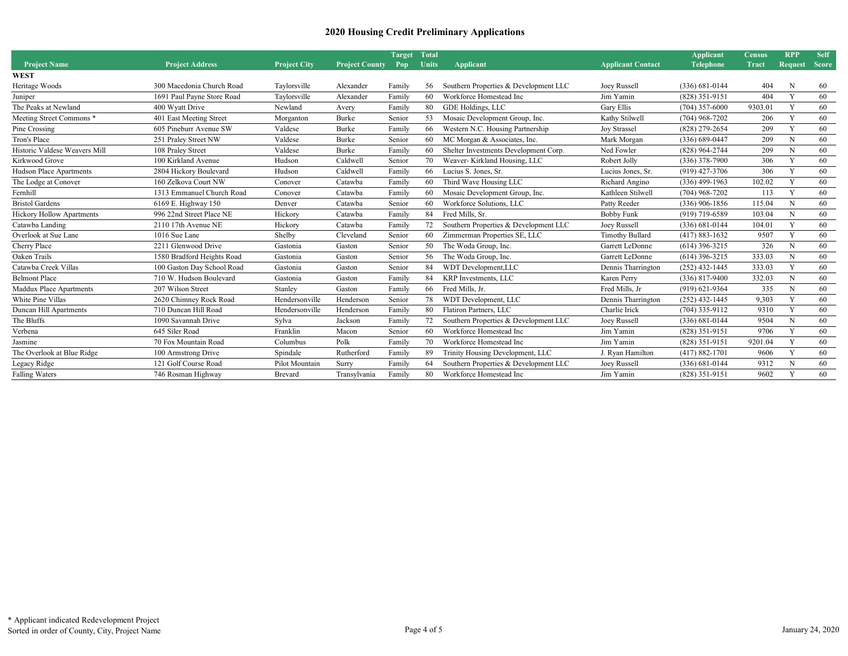|                                  |                            |                     |                       | <b>Target</b> | <b>Total</b> |                                       |                          | <b>Applicant</b>   | <b>Census</b> | <b>RPP</b>     | <b>Self</b>  |
|----------------------------------|----------------------------|---------------------|-----------------------|---------------|--------------|---------------------------------------|--------------------------|--------------------|---------------|----------------|--------------|
| <b>Project Name</b>              | <b>Project Address</b>     | <b>Project City</b> | <b>Project County</b> | Pop           | <b>Units</b> | <b>Applicant</b>                      | <b>Applicant Contact</b> | <b>Telephone</b>   | <b>Tract</b>  | <b>Request</b> | <b>Score</b> |
| <b>WEST</b>                      |                            |                     |                       |               |              |                                       |                          |                    |               |                |              |
| Heritage Woods                   | 300 Macedonia Church Road  | Taylorsville        | Alexander             | Family        | 56           | Southern Properties & Development LLC | Joey Russell             | $(336)$ 681-0144   | 404           | N              | 60           |
| Juniper                          | 1691 Paul Payne Store Road | Taylorsville        | Alexander             | Family        | 60           | Workforce Homestead Inc               | Jim Yamin                | $(828)$ 351-9151   | 404           | Y              | 60           |
| The Peaks at Newland             | 400 Wyatt Drive            | Newland             | Avery                 | Family        | 80           | GDE Holdings, LLC                     | Gary Ellis               | $(704)$ 357-6000   | 9303.01       | Y              | 60           |
| Meeting Street Commons *         | 401 East Meeting Street    | Morganton           | Burke                 | Senior        | 53           | Mosaic Development Group, Inc.        | Kathy Stilwell           | $(704)$ 968-7202   | 206           | Y              | 60           |
| Pine Crossing                    | 605 Pineburr Avenue SW     | Valdese             | Burke                 | Family        | 66           | Western N.C. Housing Partnership      | <b>Joy Strassel</b>      | $(828)$ 279-2654   | 209           | Y              | 60           |
| Tron's Place                     | 251 Praley Street NW       | Valdese             | Burke                 | Senior        | 60           | MC Morgan & Associates, Inc.          | Mark Morgan              | $(336)$ 689-0447   | 209           | N              | 60           |
| Historic Valdese Weavers Mill    | 108 Praley Street          | Valdese             | Burke                 | Family        | 60           | Shelter Investments Development Corp. | Ned Fowler               | (828) 964-2744     | 209           | N              | 60           |
| Kirkwood Grove                   | 100 Kirkland Avenue        | Hudson              | Caldwell              | Senior        | 70           | Weaver- Kirkland Housing, LLC         | Robert Jolly             | $(336)$ 378-7900   | 306           | Y              | 60           |
| <b>Hudson Place Apartments</b>   | 2804 Hickory Boulevard     | Hudson              | Caldwell              | Family        | 66           | Lucius S. Jones, Sr.                  | Lucius Jones, Sr.        | $(919)$ 427-3706   | 306           | Y              | 60           |
| The Lodge at Conover             | 160 Zelkova Court NW       | Conover             | Catawba               | Family        | 60           | Third Wave Housing LLC                | Richard Angino           | $(336)$ 499-1963   | 102.02        | Y              | 60           |
| Fernhill                         | 1313 Emmanuel Church Road  | Conover             | Catawba               | Family        | 60           | Mosaic Development Group, Inc.        | Kathleen Stilwell        | $(704)$ 968-7202   | 113           | Y              | 60           |
| <b>Bristol Gardens</b>           | 6169 E. Highway 150        | Denver              | Catawba               | Senior        | 60           | Workforce Solutions, LLC              | Patty Reeder             | $(336)$ 906-1856   | 115.04        | N              | 60           |
| <b>Hickory Hollow Apartments</b> | 996 22nd Street Place NE   | Hickory             | Catawba               | Family        | 84           | Fred Mills, Sr.                       | Bobby Funk               | $(919)$ 719-6589   | 103.04        | N              | 60           |
| Catawba Landing                  | 2110 17th Avenue NE        | Hickory             | Catawba               | Family        | 72           | Southern Properties & Development LLC | Joey Russell             | $(336) 681 - 0144$ | 104.01        | Y              | 60           |
| Overlook at Sue Lane             | 1016 Sue Lane              | Shelby              | Cleveland             | Senior        | 60           | Zimmerman Properties SE, LLC          | <b>Timothy Bullard</b>   | $(417) 883 - 1632$ | 9507          | Y              | 60           |
| Cherry Place                     | 2211 Glenwood Drive        | Gastonia            | Gaston                | Senior        | 50           | The Woda Group, Inc.                  | Garrett LeDonne          | $(614)$ 396-3215   | 326           | N              | 60           |
| Oaken Trails                     | 1580 Bradford Heights Road | Gastonia            | Gaston                | Senior        | 56           | The Woda Group, Inc.                  | Garrett LeDonne          | $(614)$ 396-3215   | 333.03        | N              | 60           |
| Catawba Creek Villas             | 100 Gaston Day School Road | Gastonia            | Gaston                | Senior        | 84           | WDT Development, LLC                  | Dennis Tharrington       | $(252)$ 432-1445   | 333.03        | Y              | 60           |
| <b>Belmont Place</b>             | 710 W. Hudson Boulevard    | Gastonia            | Gaston                | Family        | 84           | KRP Investments, LLC                  | Karen Perry              | $(336) 817 - 9400$ | 332.03        | N              | 60           |
| Maddux Place Apartments          | 207 Wilson Street          | Stanley             | Gaston                | Family        | 66           | Fred Mills, Jr.                       | Fred Mills, Jr           | $(919) 621 - 9364$ | 335           | N              | 60           |
| White Pine Villas                | 2620 Chimney Rock Road     | Hendersonville      | Henderson             | Senior        | 78           | WDT Development, LLC                  | Dennis Tharrington       | $(252)$ 432-1445   | 9,303         | Y              | 60           |
| Duncan Hill Apartments           | 710 Duncan Hill Road       | Hendersonville      | Henderson             | Family        | 80           | Flatiron Partners, LLC                | Charlie Irick            | $(704)$ 335-9112   | 9310          | Y              | 60           |
| The Bluffs                       | 1090 Savannah Drive        | Sylva               | Jackson               | Family        | 72           | Southern Properties & Development LLC | Joey Russell             | $(336)$ 681-0144   | 9504          | N              | 60           |
| Verbena                          | 645 Siler Road             | Franklin            | Macon                 | Senior        | 60           | Workforce Homestead Inc               | Jim Yamin                | $(828)$ 351-9151   | 9706          | Y              | 60           |
| Jasmine                          | 70 Fox Mountain Road       | Columbus            | Polk                  | Family        | 70           | Workforce Homestead Inc               | Jim Yamin                | $(828)$ 351-9151   | 9201.04       | Y              | 60           |
| The Overlook at Blue Ridge       | 100 Armstrong Drive        | Spindale            | Rutherford            | Family        | 89           | Trinity Housing Development, LLC      | J. Rvan Hamilton         | $(417) 882 - 1701$ | 9606          | Y              | 60           |
| Legacy Ridge                     | 121 Golf Course Road       | Pilot Mountain      | Surry                 | Family        | 64           | Southern Properties & Development LLC | Joey Russell             | $(336) 681 - 0144$ | 9312          | N              | 60           |
| <b>Falling Waters</b>            | 746 Rosman Highway         | Brevard             | Transylvania          | Family        | 80           | Workforce Homestead Inc               | Jim Yamin                | (828) 351-9151     | 9602          | Y              | 60           |
|                                  |                            |                     |                       |               |              |                                       |                          |                    |               |                |              |